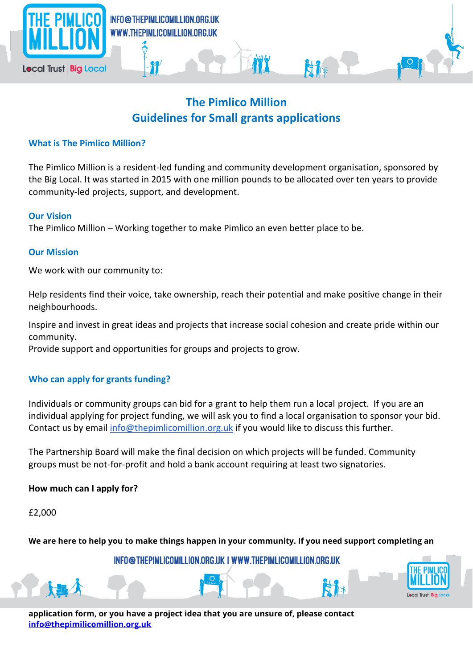

# **The Pimlico Million Guidelines for Small grants applications**

## **What is The Pimlico Million?**

The Pimlico Million is a resident-led funding and community development organisation, sponsored by the Big Local. It was started in 2015 with one million pounds to be allocated over ten years to provide community-led projects, support, and development.

#### **Our Vision**

The Pimlico Million – Working together to make Pimlico an even better place to be.

#### **Our Mission**

We work with our community to:

Help residents find their voice, take ownership, reach their potential and make positive change in their neighbourhoods.

Inspire and invest in great ideas and projects that increase social cohesion and create pride within our community.

Provide support and opportunities for groups and projects to grow.

## **Who can apply for grants funding?**

Individuals or community groups can bid for a grant to help them run a local project. If you are an individual applying for project funding, we will ask you to find a local organisation to sponsor your bid. Contact us by email [info@thepimlicomillion.org.uk](mailto:info@thepimlicomillion.org.uk) if you would like to discuss this further.

The Partnership Board will make the final decision on which projects will be funded. Community groups must be not-for-profit and hold a bank account requiring at least two signatories.

## **How much can I apply for?**

£2,000

**We are here to help you to make things happen in your community. If you need support completing an** 

INFO@THEPIMLICOMILLION.ORG.UK | WWW.THEPIMLICOMILLION.ORG.UK

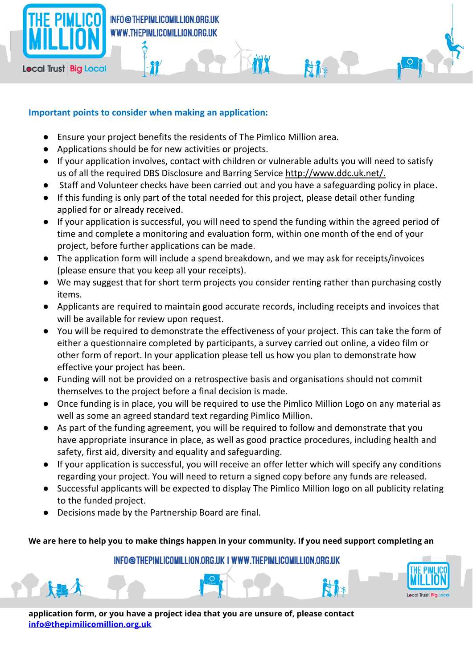

## INFO@THEPIMLICOMILLION.ORG.UK WWW.THEPIMLICOMILLION.ORG.UK

# **Local Trust Big Local**

## **Important points to consider when making an application:**

裄

- Ensure your project benefits the residents of The Pimlico Million area.
- Applications should be for new activities or projects.
- If your application involves, contact with children or vulnerable adults you will need to satisfy us of all the required DBS Disclosure and Barring Service [http://www.ddc.uk.net/.](http://www.ddc.uk.net/)

H.

- Staff and Volunteer checks have been carried out and you have a safeguarding policy in place.
- If this funding is only part of the total needed for this project, please detail other funding applied for or already received.
- If your application is successful, you will need to spend the funding within the agreed period of time and complete a monitoring and evaluation form, within one month of the end of your project, before further applications can be made.
- The application form will include a spend breakdown, and we may ask for receipts/invoices (please ensure that you keep all your receipts).
- We may suggest that for short term projects you consider renting rather than purchasing costly items.
- Applicants are required to maintain good accurate records, including receipts and invoices that will be available for review upon request.
- You will be required to demonstrate the effectiveness of your project. This can take the form of either a questionnaire completed by participants, a survey carried out online, a video film or other form of report. In your application please tell us how you plan to demonstrate how effective your project has been.
- Funding will not be provided on a retrospective basis and organisations should not commit themselves to the project before a final decision is made.
- Once funding is in place, you will be required to use the Pimlico Million Logo on any material as well as some an agreed standard text regarding Pimlico Million.
- As part of the funding agreement, you will be required to follow and demonstrate that you have appropriate insurance in place, as well as good practice procedures, including health and safety, first aid, diversity and equality and safeguarding.
- If your application is successful, you will receive an offer letter which will specify any conditions regarding your project. You will need to return a signed copy before any funds are released.
- Successful applicants will be expected to display The Pimlico Million logo on all publicity relating to the funded project.
- Decisions made by the Partnership Board are final.

## **We are here to help you to make things happen in your community. If you need support completing an**

## INFO@THEPIMLICOMILLION.ORG.UK | WWW.THEPIMLICOMILLION.ORG.UK

**application form, or you have a project idea that you are unsure of, please contact [info@thepimilicomillion.org.uk](mailto:info@thepimilicomillion.org.uk)**